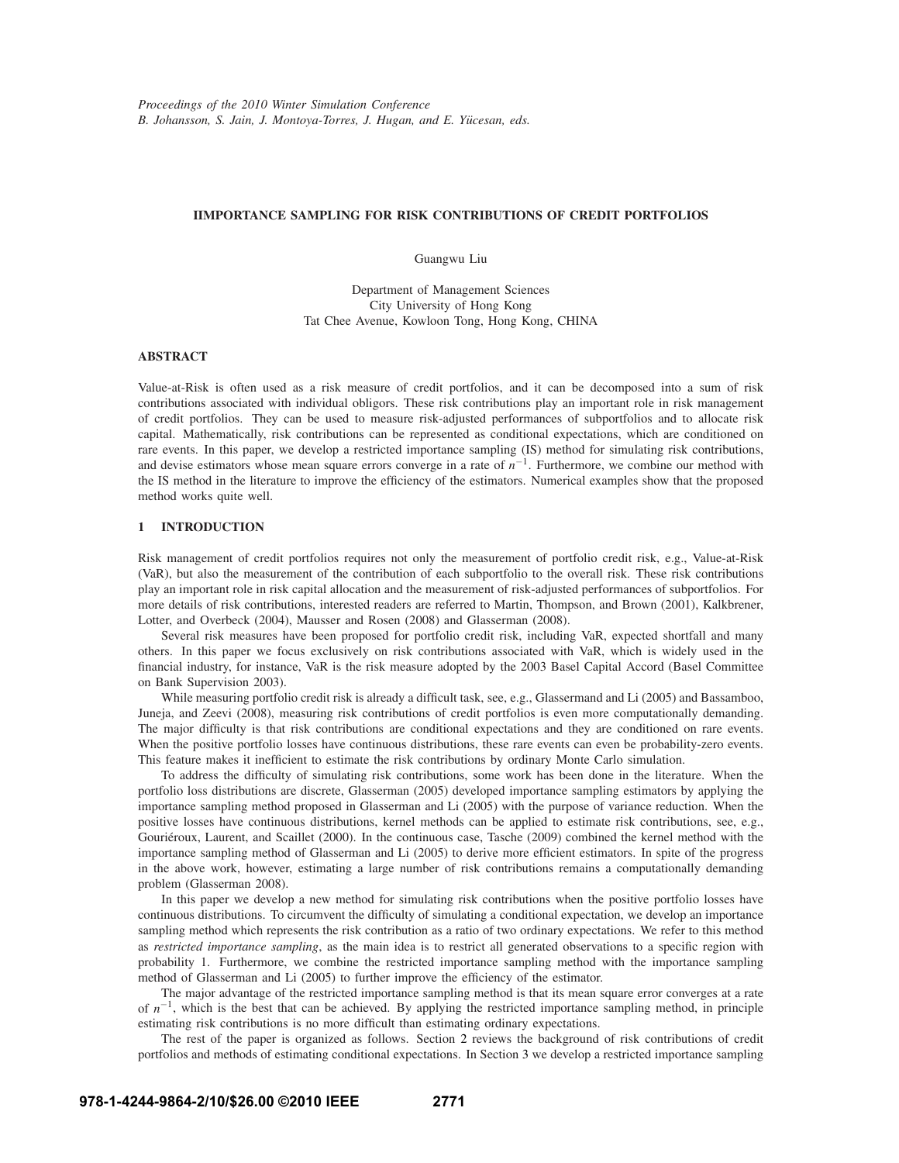# **IIMPORTANCE SAMPLING FOR RISK CONTRIBUTIONS OF CREDIT PORTFOLIOS**

Guangwu Liu

Department of Management Sciences City University of Hong Kong Tat Chee Avenue, Kowloon Tong, Hong Kong, CHINA

# **ABSTRACT**

Value-at-Risk is often used as a risk measure of credit portfolios, and it can be decomposed into a sum of risk contributions associated with individual obligors. These risk contributions play an important role in risk management of credit portfolios. They can be used to measure risk-adjusted performances of subportfolios and to allocate risk capital. Mathematically, risk contributions can be represented as conditional expectations, which are conditioned on rare events. In this paper, we develop a restricted importance sampling (IS) method for simulating risk contributions, and devise estimators whose mean square errors converge in a rate of *n*−1. Furthermore, we combine our method with the IS method in the literature to improve the efficiency of the estimators. Numerical examples show that the proposed method works quite well.

# **1 INTRODUCTION**

Risk management of credit portfolios requires not only the measurement of portfolio credit risk, e.g., Value-at-Risk (VaR), but also the measurement of the contribution of each subportfolio to the overall risk. These risk contributions play an important role in risk capital allocation and the measurement of risk-adjusted performances of subportfolios. For more details of risk contributions, interested readers are referred to Martin, Thompson, and Brown (2001), Kalkbrener, Lotter, and Overbeck (2004), Mausser and Rosen (2008) and Glasserman (2008).

Several risk measures have been proposed for portfolio credit risk, including VaR, expected shortfall and many others. In this paper we focus exclusively on risk contributions associated with VaR, which is widely used in the financial industry, for instance, VaR is the risk measure adopted by the 2003 Basel Capital Accord (Basel Committee on Bank Supervision 2003).

While measuring portfolio credit risk is already a difficult task, see, e.g., Glassermand and Li (2005) and Bassamboo, Juneja, and Zeevi (2008), measuring risk contributions of credit portfolios is even more computationally demanding. The major difficulty is that risk contributions are conditional expectations and they are conditioned on rare events. When the positive portfolio losses have continuous distributions, these rare events can even be probability-zero events. This feature makes it inefficient to estimate the risk contributions by ordinary Monte Carlo simulation.

To address the difficulty of simulating risk contributions, some work has been done in the literature. When the portfolio loss distributions are discrete, Glasserman (2005) developed importance sampling estimators by applying the importance sampling method proposed in Glasserman and Li (2005) with the purpose of variance reduction. When the positive losses have continuous distributions, kernel methods can be applied to estimate risk contributions, see, e.g., Gouriéroux, Laurent, and Scaillet (2000). In the continuous case, Tasche (2009) combined the kernel method with the importance sampling method of Glasserman and Li (2005) to derive more efficient estimators. In spite of the progress in the above work, however, estimating a large number of risk contributions remains a computationally demanding problem (Glasserman 2008).

In this paper we develop a new method for simulating risk contributions when the positive portfolio losses have continuous distributions. To circumvent the difficulty of simulating a conditional expectation, we develop an importance sampling method which represents the risk contribution as a ratio of two ordinary expectations. We refer to this method as *restricted importance sampling*, as the main idea is to restrict all generated observations to a specific region with probability 1. Furthermore, we combine the restricted importance sampling method with the importance sampling method of Glasserman and Li (2005) to further improve the efficiency of the estimator.

The major advantage of the restricted importance sampling method is that its mean square error converges at a rate of *n*−1, which is the best that can be achieved. By applying the restricted importance sampling method, in principle estimating risk contributions is no more difficult than estimating ordinary expectations.

The rest of the paper is organized as follows. Section 2 reviews the background of risk contributions of credit portfolios and methods of estimating conditional expectations. In Section 3 we develop a restricted importance sampling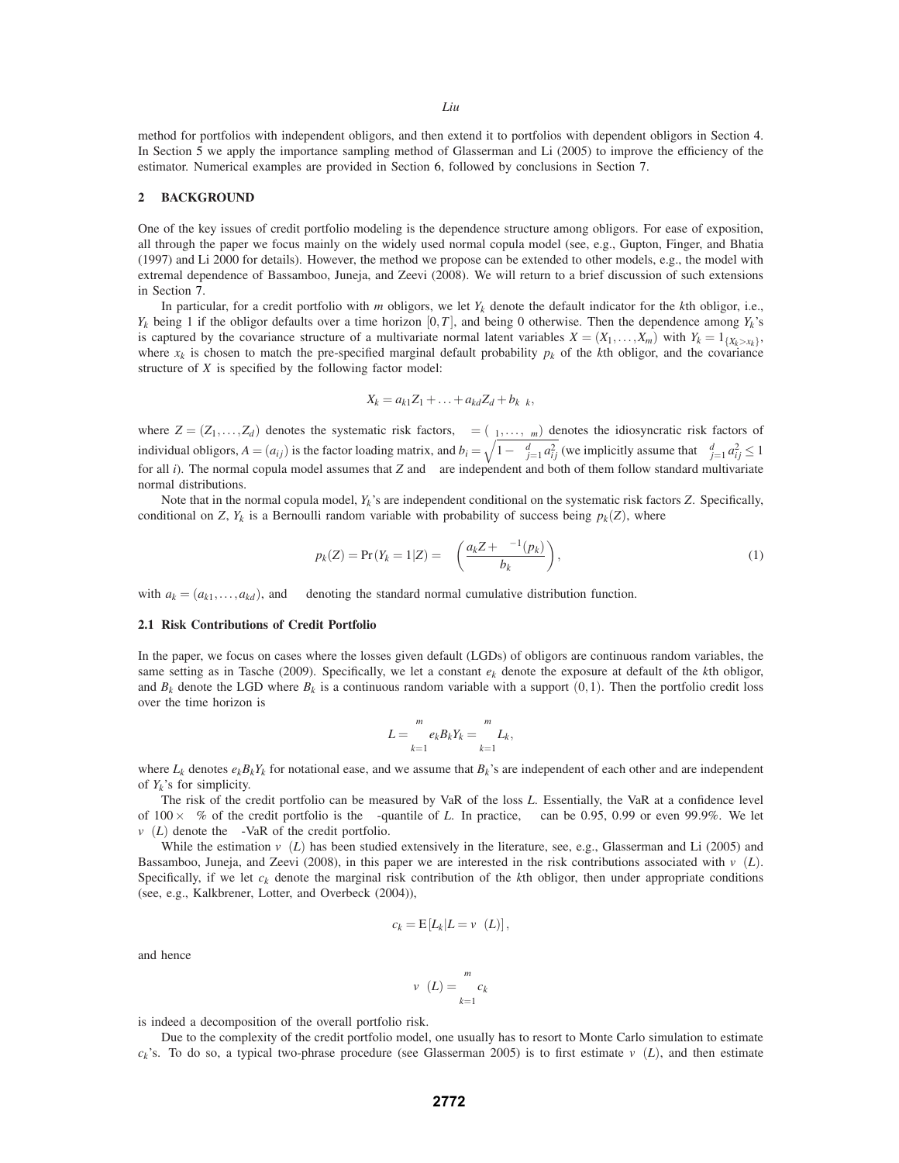method for portfolios with independent obligors, and then extend it to portfolios with dependent obligors in Section 4. In Section 5 we apply the importance sampling method of Glasserman and Li (2005) to improve the efficiency of the estimator. Numerical examples are provided in Section 6, followed by conclusions in Section 7.

### **2 BACKGROUND**

One of the key issues of credit portfolio modeling is the dependence structure among obligors. For ease of exposition, all through the paper we focus mainly on the widely used normal copula model (see, e.g., Gupton, Finger, and Bhatia (1997) and Li 2000 for details). However, the method we propose can be extended to other models, e.g., the model with extremal dependence of Bassamboo, Juneja, and Zeevi (2008). We will return to a brief discussion of such extensions in Section 7.

In particular, for a credit portfolio with *m* obligors, we let  $Y_k$  denote the default indicator for the *k*th obligor, i.e.,  $Y_k$  being 1 if the obligor defaults over a time horizon [0,*T*], and being 0 otherwise. Then the dependence among  $Y_k$ 's is captured by the covariance structure of a multivariate normal latent variables  $X = (X_1, \ldots, X_m)$  with  $Y_k = 1_{\{X_k > x_k\}}$ , where  $x_k$  is chosen to match the pre-specified marginal default probability  $p_k$  of the *k*th obligor, and the covariance structure of *X* is specified by the following factor model:

$$
X_k = a_{k1}Z_1 + \ldots + a_{kd}Z_d + b_k \varepsilon_k,
$$

where  $Z = (Z_1, \ldots, Z_d)$  denotes the systematic risk factors,  $\varepsilon = (\varepsilon_1, \ldots, \varepsilon_m)$  denotes the idiosyncratic risk factors of individual obligors,  $A = (a_{ij})$  is the factor loading matrix, and  $b_i = \sqrt{1 - \sum_{j=1}^d a_{ij}^2}$  (we implicitly assume that  $\sum_{j=1}^d a_{ij}^2 \le 1$ for all *i*). The normal copula model assumes that *Z* and  $\varepsilon$  are independent and both of them follow standard multivariate normal distributions.

Note that in the normal copula model, *Yk*'s are independent conditional on the systematic risk factors *Z*. Specifically, conditional on *Z*,  $Y_k$  is a Bernoulli random variable with probability of success being  $p_k(Z)$ , where

$$
p_k(Z) = \Pr(Y_k = 1|Z) = \Phi\left(\frac{a_k Z + \Phi^{-1}(p_k)}{b_k}\right),\tag{1}
$$

with  $a_k = (a_{k1},...,a_{kd})$ , and  $\Phi$  denoting the standard normal cumulative distribution function.

#### **2.1 Risk Contributions of Credit Portfolio**

In the paper, we focus on cases where the losses given default (LGDs) of obligors are continuous random variables, the same setting as in Tasche (2009). Specifically, we let a constant  $e_k$  denote the exposure at default of the *k*th obligor, and  $B_k$  denote the LGD where  $B_k$  is a continuous random variable with a support  $(0,1)$ . Then the portfolio credit loss over the time horizon is

$$
L=\sum_{k=1}^m e_k B_k Y_k=\sum_{k=1}^m L_k,
$$

where  $L_k$  denotes  $e_kB_kY_k$  for notational ease, and we assume that  $B_k$ 's are independent of each other and are independent of  $Y_k$ 's for simplicity.

The risk of the credit portfolio can be measured by VaR of the loss *L*. Essentially, the VaR at a confidence level of 100×<sup>α</sup>% of the credit portfolio is the <sup>α</sup>-quantile of *L*. In practice, <sup>α</sup> can be 0.95, 0.99 or even 99.9%. We let  $v_\alpha(L)$  denote the  $\alpha$ -VaR of the credit portfolio.

While the estimation  $v_\alpha(L)$  has been studied extensively in the literature, see, e.g., Glasserman and Li (2005) and Bassamboo, Juneja, and Zeevi (2008), in this paper we are interested in the risk contributions associated with  $v_\alpha(L)$ . Specifically, if we let  $c_k$  denote the marginal risk contribution of the  $k$ th obligor, then under appropriate conditions (see, e.g., Kalkbrener, Lotter, and Overbeck (2004)),

$$
c_k = \mathbb{E}\left[L_k|L = v_{\alpha}(L)\right],
$$

and hence

$$
v_{\alpha}(L) = \sum_{k=1}^{m} c_k
$$

is indeed a decomposition of the overall portfolio risk.

Due to the complexity of the credit portfolio model, one usually has to resort to Monte Carlo simulation to estimate *c<sub>k</sub>*'s. To do so, a typical two-phrase procedure (see Glasserman 2005) is to first estimate  $v_\alpha(L)$ , and then estimate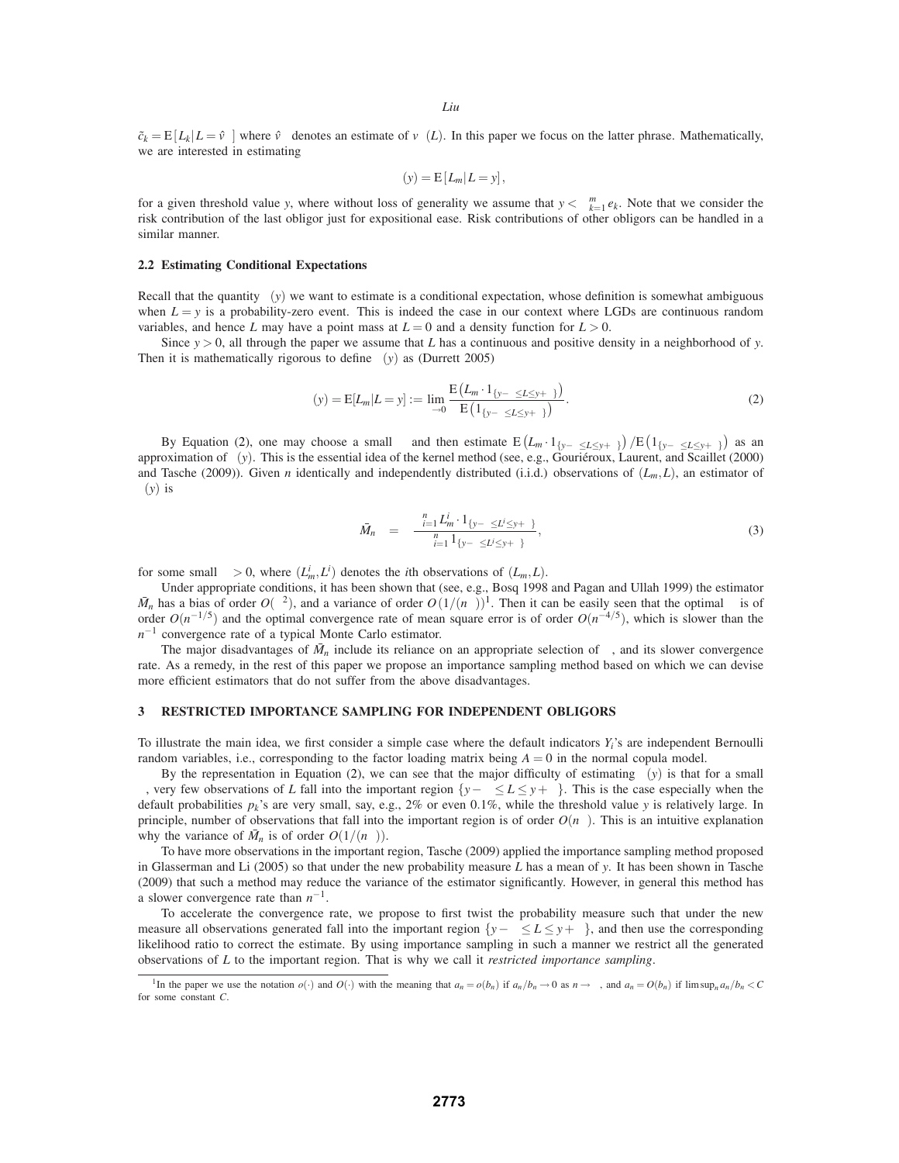$\tilde{c}_k = E[L_k | L = \hat{v}_{\alpha}]$  where  $\hat{v}_{\alpha}$  denotes an estimate of  $v_{\alpha}(L)$ . In this paper we focus on the latter phrase. Mathematically, we are interested in estimating

$$
\gamma(y) = \mathbb{E}\left[L_m|L=y\right],
$$

for a given threshold value *y*, where without loss of generality we assume that  $y < \sum_{k=1}^{m} e_k$ . Note that we consider the risk contribution of the last obligor just for expositional ease. Risk contributions of other obligors can be handled in a similar manner.

### **2.2 Estimating Conditional Expectations**

Recall that the quantity  $\gamma(y)$  we want to estimate is a conditional expectation, whose definition is somewhat ambiguous when  $L = y$  is a probability-zero event. This is indeed the case in our context where LGDs are continuous random variables, and hence *L* may have a point mass at  $L = 0$  and a density function for  $L > 0$ .

Since *y* > 0, all through the paper we assume that *L* has a continuous and positive density in a neighborhood of *y*. Then it is mathematically rigorous to define  $\gamma(y)$  as (Durrett 2005)

$$
\gamma(y) = \mathbb{E}[L_m | L = y] := \lim_{\delta \to 0} \frac{\mathbb{E}\left(L_m \cdot 1_{\{y - \delta \le L \le y + \delta\}}\right)}{\mathbb{E}\left(1_{\{y - \delta \le L \le y + \delta\}}\right)}.
$$
\n(2)

By Equation (2), one may choose a small  $\delta$  and then estimate  $E(L_m \cdot 1_{\{y-\delta \le L \le y+\delta\}})/E(1_{\{y-\delta \le L \le y+\delta\}})$  as an approximation of <sup>γ</sup>(*y*). This is the essential idea of the kernel method (see, e.g., Gourieroux, Laurent, and Scaillet (2000) ´ and Tasche (2009)). Given *n* identically and independently distributed (i.i.d.) observations of  $(L_m, L)$ , an estimator of <sup>γ</sup>(*y*) is

$$
\bar{M}_n = \frac{\sum_{i=1}^n L_m^i \cdot 1_{\{y-\delta \le L^i \le y+\delta\}}}{\sum_{i=1}^n 1_{\{y-\delta \le L^i \le y+\delta\}}},\tag{3}
$$

for some small  $\delta > 0$ , where  $(L_m^i, L^i)$  denotes the *i*th observations of  $(L_m, L)$ .

Under appropriate conditions, it has been shown that (see, e.g., Bosq 1998 and Pagan and Ullah 1999) the estimator  $\bar{M}_n$  has a bias of order  $O(\delta^2)$ , and a variance of order  $O(1/(n\delta))^1$ . Then it can be easily seen that the optimal  $\delta$  is of order  $O(n^{-1/5})$  and the optimal convergence rate of mean square error is of order  $O(n^{-4/5})$ , which is slower than the *n*<sup>−1</sup> convergence rate of a typical Monte Carlo estimator.

The major disadvantages of  $\bar{M}_n$  include its reliance on an appropriate selection of  $\delta$ , and its slower convergence rate. As a remedy, in the rest of this paper we propose an importance sampling method based on which we can devise more efficient estimators that do not suffer from the above disadvantages.

## **3 RESTRICTED IMPORTANCE SAMPLING FOR INDEPENDENT OBLIGORS**

To illustrate the main idea, we first consider a simple case where the default indicators  $Y_i$ 's are independent Bernoulli random variables, i.e., corresponding to the factor loading matrix being  $A = 0$  in the normal copula model.

By the representation in Equation (2), we can see that the major difficulty of estimating  $\gamma(y)$  is that for a small <sup>δ</sup>, very few observations of *L* fall into the important region {*y*−<sup>δ</sup> ≤ *L* ≤ *y*+δ}. This is the case especially when the default probabilities  $p_k$ 's are very small, say, e.g., 2% or even 0.1%, while the threshold value *y* is relatively large. In principle, number of observations that fall into the important region is of order  $O(n\delta)$ . This is an intuitive explanation why the variance of  $\overline{M}_n$  is of order  $O(1/(n\delta))$ .

To have more observations in the important region, Tasche (2009) applied the importance sampling method proposed in Glasserman and Li (2005) so that under the new probability measure *L* has a mean of *y*. It has been shown in Tasche (2009) that such a method may reduce the variance of the estimator significantly. However, in general this method has a slower convergence rate than *n*−1.

To accelerate the convergence rate, we propose to first twist the probability measure such that under the new measure all observations generated fall into the important region  $\{y-\delta \leq L \leq y+\delta\}$ , and then use the corresponding likelihood ratio to correct the estimate. By using importance sampling in such a manner we restrict all the generated observations of *L* to the important region. That is why we call it *restricted importance sampling*.

<sup>&</sup>lt;sup>1</sup>In the paper we use the notation  $o(\cdot)$  and  $O(\cdot)$  with the meaning that  $a_n = o(b_n)$  if  $a_n/b_n \to 0$  as  $n \to \infty$ , and  $a_n = O(b_n)$  if  $\limsup_n a_n/b_n < C$ for some constant *C*.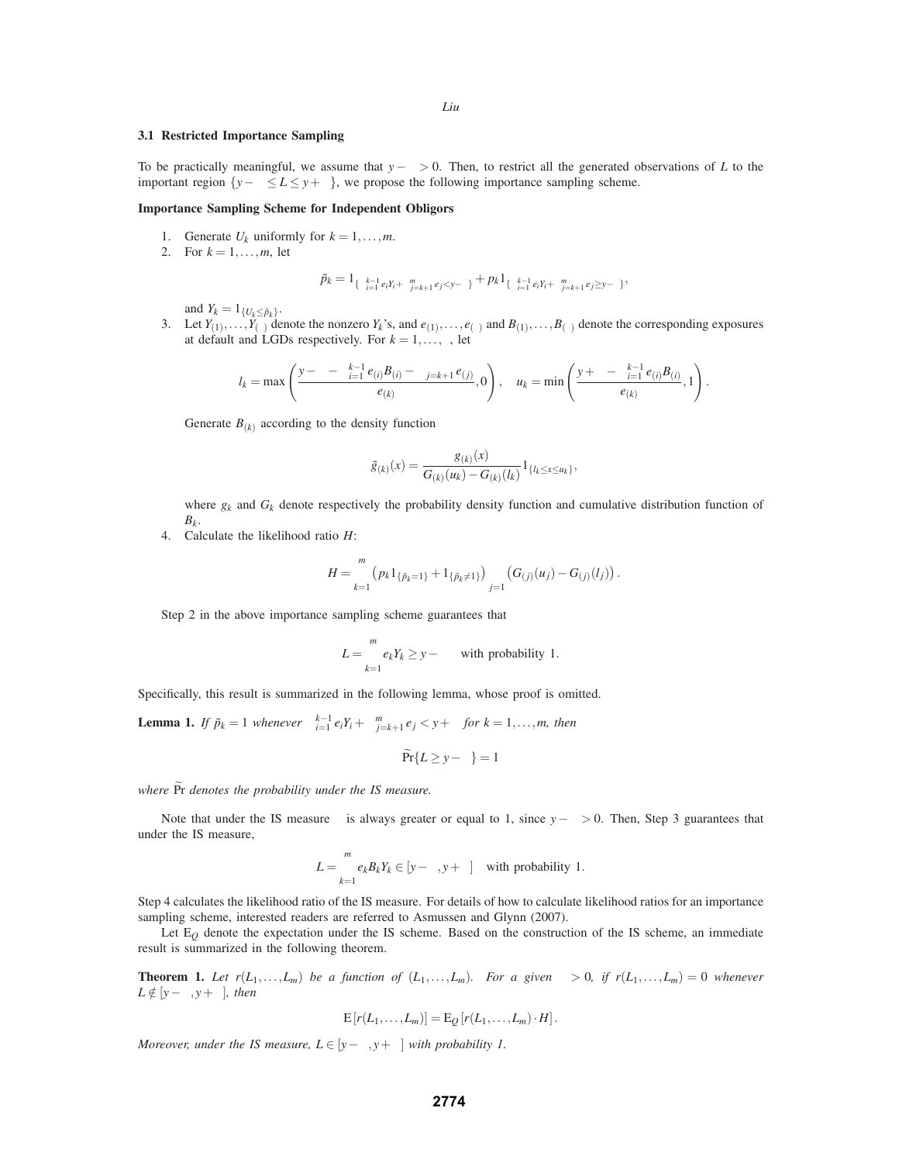# **3.1 Restricted Importance Sampling**

To be practically meaningful, we assume that *y*−<sup>δ</sup> > 0. Then, to restrict all the generated observations of *L* to the important region  $\{y-\delta\leq L\leq y+\delta\}$ , we propose the following importance sampling scheme.

# **Importance Sampling Scheme for Independent Obligors**

- 1. Generate  $U_k$  uniformly for  $k = 1, \ldots, m$ .
- 2. For  $k = 1, ..., m$ , let

$$
\tilde{p}_k = \mathbf{1}_{ \{ \sum_{i=1}^{k-1} e_i Y_i + \sum_{j=k+1}^{m} e_j < y - \delta \} } + p_k \mathbf{1}_{ \{ \sum_{i=1}^{k-1} e_i Y_i + \sum_{j=k+1}^{m} e_j \geq y - \delta \} },
$$

and  $Y_k = 1_{\{U_k \le \tilde{p}_k\}}$ .

3. Let  $Y_{(1)},...,Y_{(\tau)}$  denote the nonzero  $Y_k$ 's, and  $e_{(1)},...,e_{(\tau)}$  and  $B_{(1)},...,B_{(\tau)}$  denote the corresponding exposures at default and LGDs respectively. For  $k = 1, \ldots, \tau$ , let

$$
l_k = \max\left(\frac{y - \delta - \sum_{i=1}^{k-1} e_{(i)} B_{(i)} - \sum_{j=k+1}^{\tau} e_{(j)}}{e_{(k)}}, 0\right), \quad u_k = \min\left(\frac{y + \delta - \sum_{i=1}^{k-1} e_{(i)} B_{(i)}}{e_{(k)}}, 1\right).
$$

Generate  $B_{(k)}$  according to the density function

$$
\tilde{g}_{(k)}(x) = \frac{g_{(k)}(x)}{G_{(k)}(u_k) - G_{(k)}(l_k)} 1_{\{l_k \leq x \leq u_k\}},
$$

where  $g_k$  and  $G_k$  denote respectively the probability density function and cumulative distribution function of  $B_k$ .

4. Calculate the likelihood ratio *H*:

$$
H = \prod_{k=1}^m (p_k 1_{\{\tilde{p}_k=1\}} + 1_{\{\tilde{p}_k\neq 1\}}) \prod_{j=1}^{\tau} (G_{(j)}(u_j) - G_{(j)}(l_j)).
$$

Step 2 in the above importance sampling scheme guarantees that

$$
L = \sum_{k=1}^{m} e_k Y_k \ge y - \delta \quad \text{with probability } 1.
$$

Specifically, this result is summarized in the following lemma, whose proof is omitted.

**Lemma 1.** *If*  $\tilde{p}_k = 1$  *whenever*  $\sum_{i=1}^{k-1} e_i Y_i + \sum_{j=k+1}^{m} e_j < y + \delta$  for  $k = 1, ..., m$ , then

$$
\Pr\{L \ge y - \delta\} = 1
$$

*where*  $\widetilde{Pr}$  *denotes the probability under the IS measure.* 

Note that under the IS measure  $\tau$  is always greater or equal to 1, since  $y-\delta > 0$ . Then, Step 3 guarantees that under the IS measure,

$$
L = \sum_{k=1}^{m} e_k B_k Y_k \in [y - \delta, y + \delta] \quad \text{with probability } 1.
$$

Step 4 calculates the likelihood ratio of the IS measure. For details of how to calculate likelihood ratios for an importance sampling scheme, interested readers are referred to Asmussen and Glynn (2007).

Let  $E_Q$  denote the expectation under the IS scheme. Based on the construction of the IS scheme, an immediate result is summarized in the following theorem.

**Theorem 1.** Let  $r(L_1,...,L_m)$  be a function of  $(L_1,...,L_m)$ . For a given  $\delta > 0$ , if  $r(L_1,...,L_m) = 0$  whenever  $L \notin [y-\delta, y+\delta]$ *, then* 

$$
E[r(L_1,\ldots,L_m)]=E_Q[r(L_1,\ldots,L_m)\cdot H].
$$

*Moreover, under the IS measure, L* ∈ [ $y - \delta$ ,  $y + \delta$ ] *with probability 1.*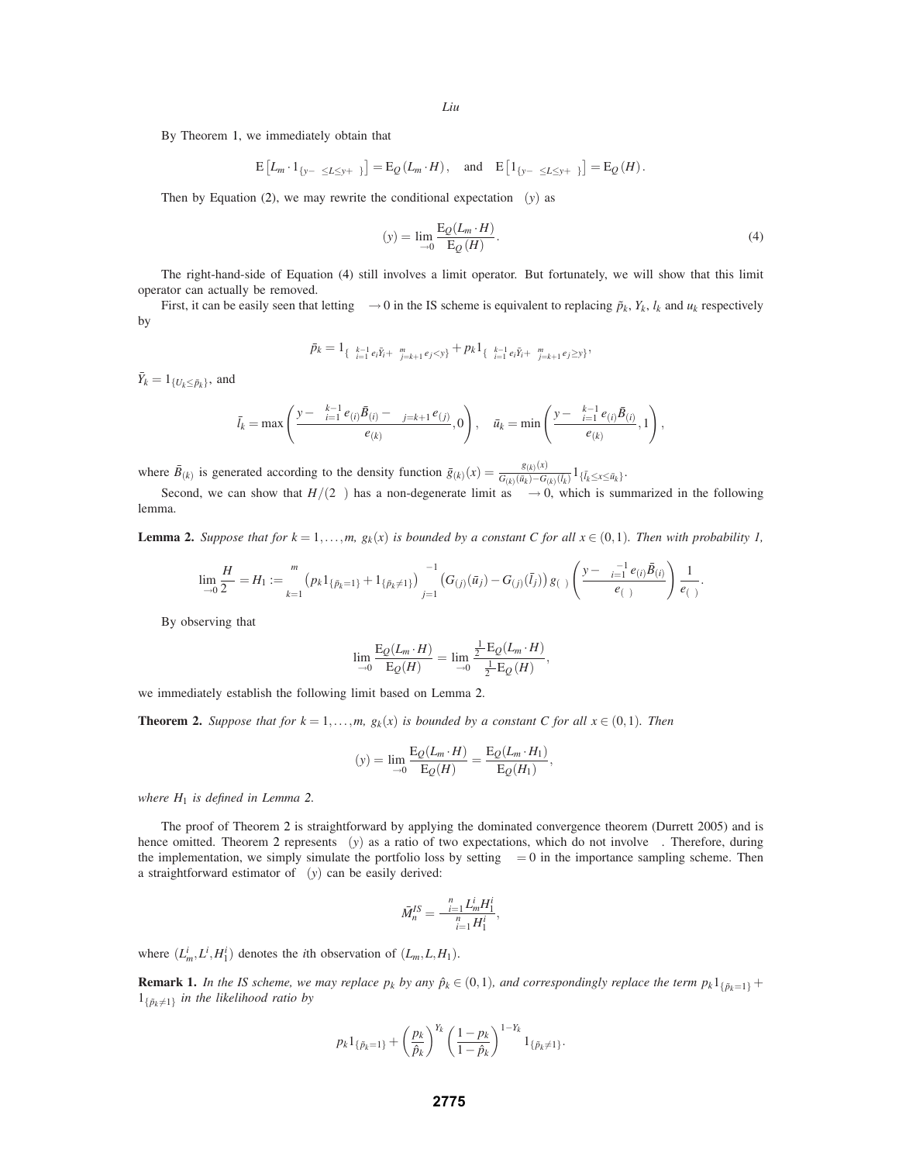By Theorem 1, we immediately obtain that

$$
E\left[L_m \cdot 1_{\{y-\delta \le L \le y+\delta\}}\right] = E_Q(L_m \cdot H), \text{ and } E\left[1_{\{y-\delta \le L \le y+\delta\}}\right] = E_Q(H).
$$

Then by Equation (2), we may rewrite the conditional expectation  $\gamma(y)$  as

$$
\gamma(y) = \lim_{\delta \to 0} \frac{\mathcal{E}_{Q}(L_m \cdot H)}{\mathcal{E}_{Q}(H)}.
$$
\n(4)

.

The right-hand-side of Equation (4) still involves a limit operator. But fortunately, we will show that this limit operator can actually be removed.

First, it can be easily seen that letting  $\delta \to 0$  in the IS scheme is equivalent to replacing  $\tilde{p}_k$ ,  $Y_k$ ,  $I_k$  and  $u_k$  respectively by

$$
\bar{p}_k = 1_{\{\sum_{i=1}^{k-1} e_i \bar{Y}_i + \sum_{j=k+1}^m e_j < y\}} + p_k 1_{\{\sum_{i=1}^{k-1} e_i \bar{Y}_i + \sum_{j=k+1}^m e_j \ge y\}},
$$

 $\bar{Y}_k = 1_{\{U_k \leq \bar{p}_k\}}$ , and

$$
\bar{l}_k = \max\left(\frac{y - \sum_{i=1}^{k-1} e_{(i)}\bar{B}_{(i)} - \sum_{j=k+1}^{\tau} e_{(j)}}{e_{(k)}}, 0\right), \quad \bar{u}_k = \min\left(\frac{y - \sum_{i=1}^{k-1} e_{(i)}\bar{B}_{(i)}}{e_{(k)}}, 1\right),
$$

where  $\bar{B}_{(k)}$  is generated according to the density function  $\bar{g}_{(k)}(x) = \frac{g_{(k)}(x)}{G_{(k)}(\bar{u}_k) - G_{(k)}(\bar{l}_k)} 1_{\{\bar{l}_k \le x \le \bar{u}_k\}}$ .

Second, we can show that  $H/(2\delta)$  has a non-degenerate limit as  $\delta \to 0$ , which is summarized in the following lemma.

**Lemma 2.** Suppose that for  $k = 1, \ldots, m$ ,  $g_k(x)$  is bounded by a constant C for all  $x \in (0,1)$ . Then with probability 1,

$$
\lim_{\delta \to 0} \frac{H}{2\delta} = H_1 := \prod_{k=1}^m (p_k 1_{\{\bar{p}_k = 1\}} + 1_{\{\bar{p}_k \neq 1\}}) \prod_{j=1}^{\tau-1} (G_{(j)}(\bar{u}_j) - G_{(j)}(\bar{l}_j)) g_{(\tau)} \left( \frac{y - \sum_{i=1}^{\tau-1} e_{(i)} \bar{B}_{(i)}}{e_{(\tau)}} \right) \frac{1}{e_{(\tau)}}
$$

By observing that

$$
\lim_{\delta \to 0} \frac{\mathcal{E}_{\mathcal{Q}}(L_m \cdot H)}{\mathcal{E}_{\mathcal{Q}}(H)} = \lim_{\delta \to 0} \frac{\frac{1}{2\delta} \mathcal{E}_{\mathcal{Q}}(L_m \cdot H)}{\frac{1}{2\delta} \mathcal{E}_{\mathcal{Q}}(H)},
$$

we immediately establish the following limit based on Lemma 2.

**Theorem 2.** *Suppose that for*  $k = 1, ..., m$ ,  $g_k(x)$  *is bounded by a constant C for all*  $x \in (0,1)$ *. Then* 

$$
\gamma(y) = \lim_{\delta \to 0} \frac{\mathrm{E}_{Q}(L_m \cdot H)}{\mathrm{E}_{Q}(H)} = \frac{\mathrm{E}_{Q}(L_m \cdot H_1)}{\mathrm{E}_{Q}(H_1)},
$$

*where H*<sup>1</sup> *is defined in Lemma 2.*

The proof of Theorem 2 is straightforward by applying the dominated convergence theorem (Durrett 2005) and is hence omitted. Theorem 2 represents  $\gamma(y)$  as a ratio of two expectations, which do not involve  $\delta$ . Therefore, during the implementation, we simply simulate the portfolio loss by setting  $\delta = 0$  in the importance sampling scheme. Then a straightforward estimator of  $\gamma(y)$  can be easily derived:

$$
\bar{M}_n^{IS} = \frac{\sum_{i=1}^n L_m^i H_1^i}{\sum_{i=1}^n H_1^i},
$$

where  $(L_m^i, L^i, H_1^i)$  denotes the *i*th observation of  $(L_m, L, H_1)$ .

**Remark 1.** *In the IS scheme, we may replace*  $p_k$  *by any*  $\hat{p}_k \in (0,1)$ *, and correspondingly replace the term*  $p_k 1_{\{\tilde{p}_k=1\}}$  +  $1_{\{\tilde{p}_k\neq 1\}}$  *in the likelihood ratio by* 

$$
p_k 1_{\{\tilde{p}_k=1\}} + \left(\frac{p_k}{\hat{p}_k}\right)^{Y_k} \left(\frac{1-p_k}{1-\hat{p}_k}\right)^{1-Y_k} 1_{\{\tilde{p}_k\neq 1\}}.
$$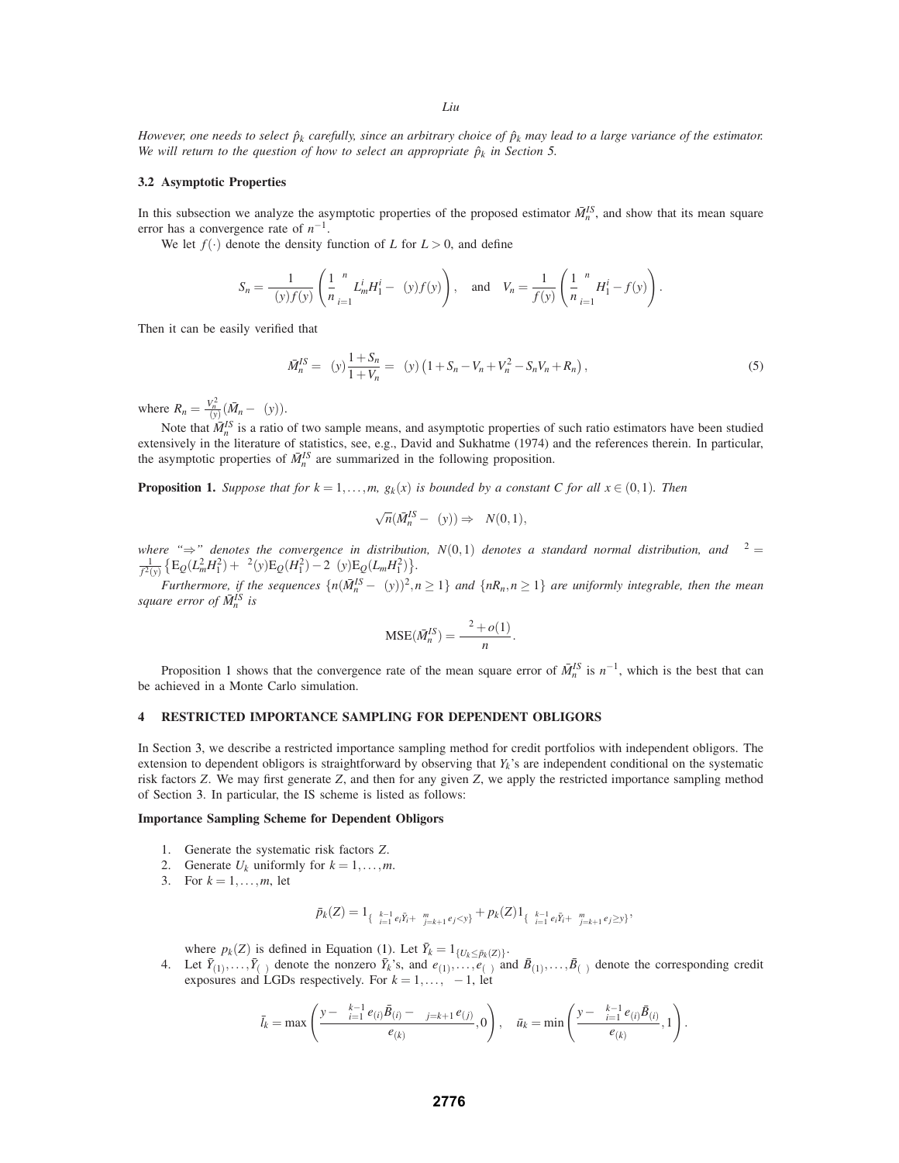*However, one needs to select*  $\hat{p}_k$  *carefully, since an arbitrary choice of*  $\hat{p}_k$  *may lead to a large variance of the estimator. We will return to the question of how to select an appropriate*  $\hat{p}_k$  *in Section* 5.

## **3.2 Asymptotic Properties**

In this subsection we analyze the asymptotic properties of the proposed estimator  $\bar{M}_n^{IS}$ , and show that its mean square error has a convergence rate of *n*−1.

We let  $f(.)$  denote the density function of *L* for  $L > 0$ , and define

$$
S_n = \frac{1}{\gamma(y)f(y)} \left( \frac{1}{n} \sum_{i=1}^n L_m^i H_1^i - \gamma(y)f(y) \right), \text{ and } V_n = \frac{1}{f(y)} \left( \frac{1}{n} \sum_{i=1}^n H_1^i - f(y) \right).
$$

Then it can be easily verified that

$$
\bar{M}_n^{IS} = \gamma(y) \frac{1 + S_n}{1 + V_n} = \gamma(y) \left( 1 + S_n - V_n + V_n^2 - S_n V_n + R_n \right),\tag{5}
$$

where  $R_n = \frac{V_n^2}{\gamma(y)}(\bar{M}_n - \gamma(y)).$ 

Note that  $\bar{M}_n^{IS}$  is a ratio of two sample means, and asymptotic properties of such ratio estimators have been studied extensively in the literature of statistics, see, e.g., David and Sukhatme (1974) and the references therein. In particular, the asymptotic properties of  $\bar{M}_n^{IS}$  are summarized in the following proposition.

**Proposition 1.** *Suppose that for*  $k = 1, ..., m$ ,  $g_k(x)$  *is bounded by a constant C for all*  $x \in (0, 1)$ *. Then* 

$$
\sqrt{n}(\bar{M}_{n}^{IS}-\gamma(y))\Rightarrow \sigma N(0,1),
$$

*where* " $\Rightarrow$ " denotes the convergence in distribution,  $N(0,1)$  denotes a standard normal distribution, and  $\sigma^2 =$  $\label{eq:1D1V:2} \big\{ \mathbf{E}_{Q} (L_{m}^{2} H_{1}^{2}) + \gamma^{2}(\mathbf{y}) \mathbf{E}_{Q} (H_{1}^{2}) - 2 \gamma(\mathbf{y}) \mathbf{E}_{Q} (L_{m} H_{1}^{2}) \big\}.$ 

 $\frac{f^2(y)}{f^2(y)}$   $\frac{f^2(y) - f^2(y) - f(y)}{f^2(y)} = 2f(y) - 2f(y) - 2f(y) - 2f(y) - 2f(y) - 2f(y)$ <br>Furthermore, if the sequences  $\{n(M_n^{IS} - \gamma(y))^2, n \ge 1\}$  and  $\{nR_n, n \ge 1\}$  are uniformly integrable, then the mean square error of  $M_n^{IS}$  is

$$
MSE(\bar{M}_n^{IS}) = \frac{\sigma^2 + o(1)}{n}.
$$

Proposition 1 shows that the convergence rate of the mean square error of  $\bar{M}_n^{IS}$  is  $n^{-1}$ , which is the best that can be achieved in a Monte Carlo simulation.

## **4 RESTRICTED IMPORTANCE SAMPLING FOR DEPENDENT OBLIGORS**

In Section 3, we describe a restricted importance sampling method for credit portfolios with independent obligors. The extension to dependent obligors is straightforward by observing that *Yk*'s are independent conditional on the systematic risk factors *Z*. We may first generate *Z*, and then for any given *Z*, we apply the restricted importance sampling method of Section 3. In particular, the IS scheme is listed as follows:

#### **Importance Sampling Scheme for Dependent Obligors**

- 1. Generate the systematic risk factors *Z*.
- 2. Generate  $U_k$  uniformly for  $k = 1, \ldots, m$ .
- 3. For  $k = 1, ..., m$ , let

$$
\bar{p}_k(Z) = 1_{\{\sum_{i=1}^{k-1} e_i \bar{Y}_i + \sum_{j=k+1}^m e_j < y\}} + p_k(Z) 1_{\{\sum_{i=1}^{k-1} e_i \bar{Y}_i + \sum_{j=k+1}^m e_j \ge y\}},
$$

where  $p_k(Z)$  is defined in Equation (1). Let  $\bar{Y}_k = 1_{\{U_k \le \bar{p}_k(Z)\}}$ .

4. Let  $\bar{Y}_{(1)},\ldots,\bar{Y}_{(\tau)}$  denote the nonzero  $\bar{Y}_k$ 's, and  $e_{(1)},\ldots,e_{(\tau)}$  and  $\bar{B}_{(1)},\ldots,\bar{B}_{(\tau)}$  denote the corresponding credit exposures and LGDs respectively. For  $k = 1, \ldots, \tau - 1$ , let

$$
\bar{l}_k = \max\left(\frac{y - \sum_{i=1}^{k-1} e_{(i)} \bar{B}_{(i)} - \sum_{j=k+1}^{T} e_{(j)}}{e_{(k)}}, 0\right), \quad \bar{u}_k = \min\left(\frac{y - \sum_{i=1}^{k-1} e_{(i)} \bar{B}_{(i)}}{e_{(k)}}, 1\right).
$$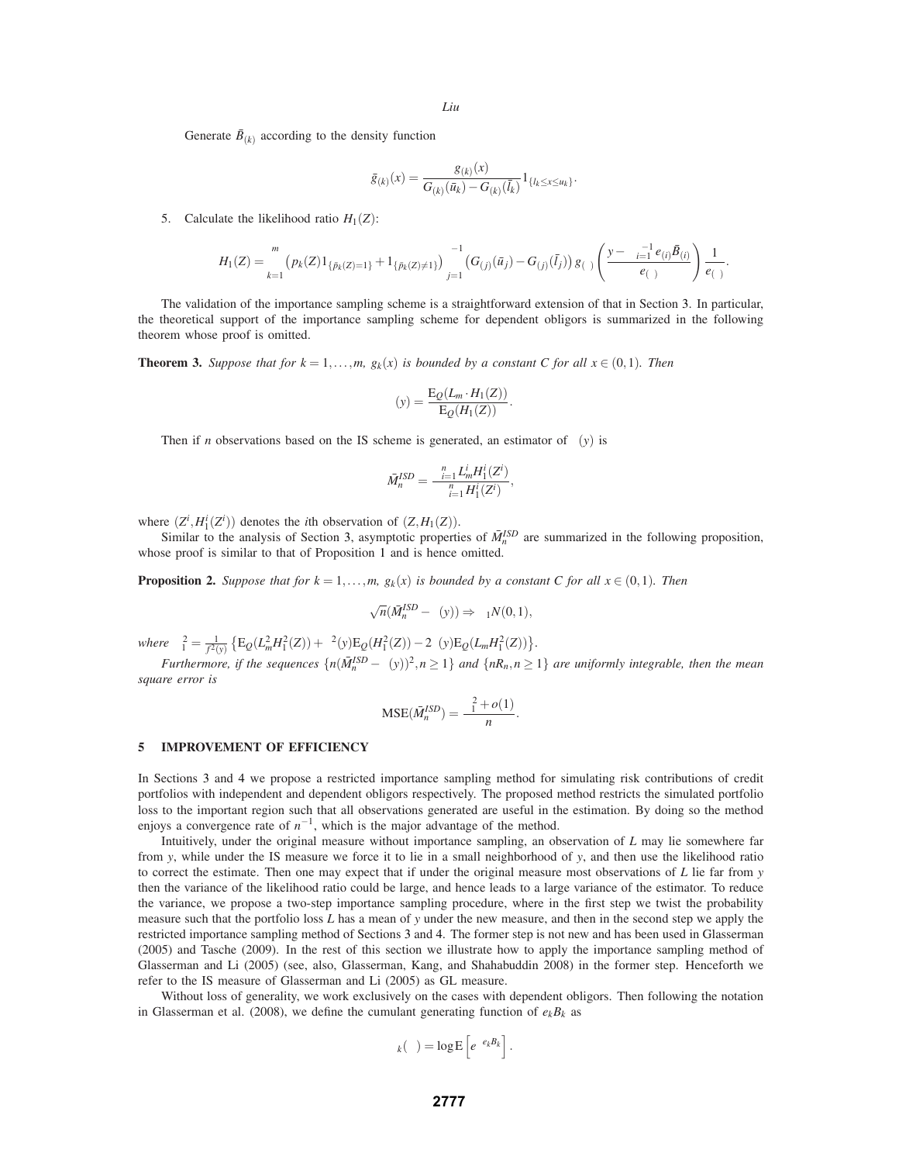Generate  $\bar{B}_{(k)}$  according to the density function

$$
\bar{g}_{(k)}(x) = \frac{g_{(k)}(x)}{G_{(k)}(\bar{u}_k) - G_{(k)}(\bar{l}_k)} 1_{\{l_k \le x \le u_k\}}.
$$

5. Calculate the likelihood ratio  $H_1(Z)$ :

$$
H_1(Z) = \prod_{k=1}^m (p_k(Z)1_{\{\bar{p}_k(Z)=1\}} + 1_{\{\bar{p}_k(Z)\neq 1\}}) \prod_{j=1}^{\tau-1} (G_{(j)}(\bar{u}_j) - G_{(j)}(\bar{l}_j)) g_{(\tau)}\left(\frac{y - \sum_{i=1}^{\tau-1} e_{(i)}\bar{B}_{(i)}}{e_{(\tau)}}\right) \frac{1}{e_{(\tau)}}.
$$

The validation of the importance sampling scheme is a straightforward extension of that in Section 3. In particular, the theoretical support of the importance sampling scheme for dependent obligors is summarized in the following theorem whose proof is omitted.

**Theorem 3.** *Suppose that for*  $k = 1, ..., m$ ,  $g_k(x)$  *is bounded by a constant C for all*  $x \in (0, 1)$ *. Then* 

$$
\gamma(y) = \frac{\mathcal{E}_{Q}(L_m \cdot H_1(Z))}{\mathcal{E}_{Q}(H_1(Z))}.
$$

Then if *n* observations based on the IS scheme is generated, an estimator of  $\gamma(y)$  is

$$
\bar{M}_n^{ISD} = \frac{\sum_{i=1}^n L_m^i H_1^i(Z^i)}{\sum_{i=1}^n H_1^i(Z^i)},
$$

where  $(Z^i, H_1^i(Z^i))$  denotes the *i*th observation of  $(Z, H_1(Z))$ .

Similar to the analysis of Section 3, asymptotic properties of  $\bar{M}_n^{ISD}$  are summarized in the following proposition, whose proof is similar to that of Proposition 1 and is hence omitted.

**Proposition 2.** Suppose that for  $k = 1, ..., m$ ,  $g_k(x)$  is bounded by a constant C for all  $x \in (0, 1)$ *. Then* 

$$
\sqrt{n}(\bar{M}_{n}^{ISD}-\gamma(y))\Rightarrow\sigma_{1}N(0,1),
$$

 $where \ \sigma_1^2 = \frac{1}{f^2(y)} \{ E_Q(L_m^2 H_1^2(Z)) + \gamma^2(y) E_Q(H_1^2(Z)) - 2\gamma(y) E_Q(L_m H_1^2(Z)) \}.$ 

*Furthermore, if the sequences*  $\{n(\bar{M}_n^{ISD} - \gamma(y))^2, n \ge 1\}$  *and*  $\{nR_n, n \ge 1\}$  *are uniformly integrable, then the mean square error is*

$$
\text{MSE}(\bar{M}_n^{ISD}) = \frac{\sigma_1^2 + o(1)}{n}.
$$

## **5 IMPROVEMENT OF EFFICIENCY**

In Sections 3 and 4 we propose a restricted importance sampling method for simulating risk contributions of credit portfolios with independent and dependent obligors respectively. The proposed method restricts the simulated portfolio loss to the important region such that all observations generated are useful in the estimation. By doing so the method enjoys a convergence rate of  $n^{-1}$ , which is the major advantage of the method.

Intuitively, under the original measure without importance sampling, an observation of *L* may lie somewhere far from *y*, while under the IS measure we force it to lie in a small neighborhood of *y*, and then use the likelihood ratio to correct the estimate. Then one may expect that if under the original measure most observations of *L* lie far from *y* then the variance of the likelihood ratio could be large, and hence leads to a large variance of the estimator. To reduce the variance, we propose a two-step importance sampling procedure, where in the first step we twist the probability measure such that the portfolio loss *L* has a mean of *y* under the new measure, and then in the second step we apply the restricted importance sampling method of Sections 3 and 4. The former step is not new and has been used in Glasserman (2005) and Tasche (2009). In the rest of this section we illustrate how to apply the importance sampling method of Glasserman and Li (2005) (see, also, Glasserman, Kang, and Shahabuddin 2008) in the former step. Henceforth we refer to the IS measure of Glasserman and Li (2005) as GL measure.

Without loss of generality, we work exclusively on the cases with dependent obligors. Then following the notation in Glasserman et al. (2008), we define the cumulant generating function of  $e_kB_k$  as

$$
\Lambda_k(\lambda) = \log \mathbb{E}\left[e^{\lambda e_k B_k}\right].
$$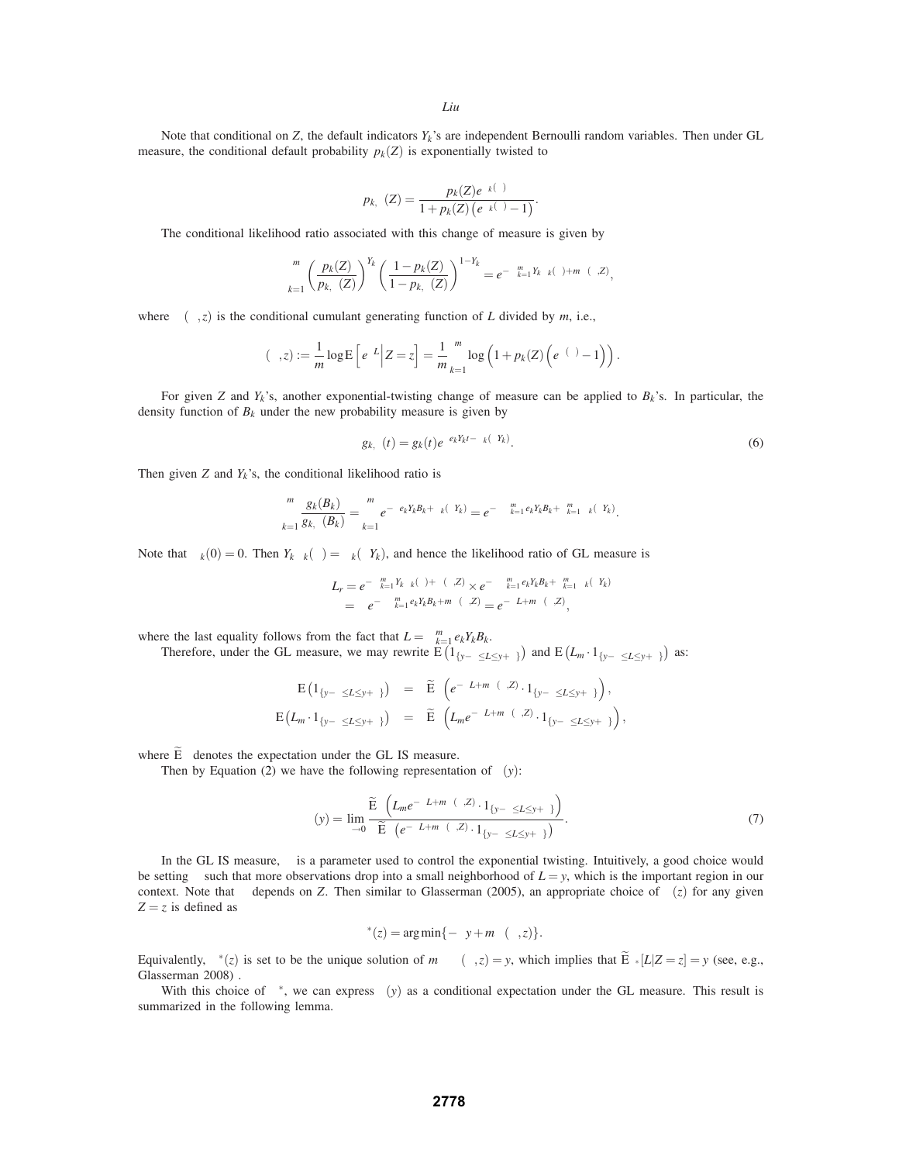Note that conditional on *Z*, the default indicators *Yk*'s are independent Bernoulli random variables. Then under GL measure, the conditional default probability  $p_k(Z)$  is exponentially twisted to

$$
p_{k,\theta}(Z) = \frac{p_k(Z)e^{\Lambda_k(\theta)}}{1 + p_k(Z)\left(e^{\Lambda_k(\theta)} - 1\right)}.
$$

The conditional likelihood ratio associated with this change of measure is given by

$$
\prod_{k=1}^m \left(\frac{p_k(Z)}{p_{k,\theta}(Z)}\right)^{Y_k} \left(\frac{1-p_k(Z)}{1-p_{k,\theta}(Z)}\right)^{1-Y_k} = e^{-\sum_{k=1}^m Y_k \Lambda_k(\theta) + m\psi(\theta,Z)},
$$

where  $\psi(\theta, z)$  is the conditional cumulant generating function of *L* divided by *m*, i.e.,

$$
\psi(\theta, z) := \frac{1}{m} \log \mathbb{E}\left[e^{\theta L} \middle| Z = z\right] = \frac{1}{m} \sum_{k=1}^{m} \log \left(1 + p_k(Z)\left(e^{\Lambda(\theta)} - 1\right)\right).
$$

For given *Z* and  $Y_k$ 's, another exponential-twisting change of measure can be applied to  $B_k$ 's. In particular, the density function of  $B_k$  under the new probability measure is given by

$$
g_{k,\theta}(t) = g_k(t)e^{\theta e_k Y_k t - \Lambda_k(\theta Y_k)}.
$$
\n
$$
(6)
$$

Then given  $Z$  and  $Y_k$ 's, the conditional likelihood ratio is

$$
\prod_{k=1}^m \frac{g_k(B_k)}{g_{k,\theta}(B_k)} = \prod_{k=1}^m e^{-\theta e_k Y_k B_k + \Lambda_k(\theta Y_k)} = e^{-\theta \sum_{k=1}^m e_k Y_k B_k + \sum_{k=1}^m \Lambda_k(\theta Y_k)}.
$$

Note that  $\Lambda_k(0) = 0$ . Then  $Y_k \Lambda_k(\theta) = \Lambda_k(\theta Y_k)$ , and hence the likelihood ratio of GL measure is

$$
L_r = e^{-\sum_{k=1}^m Y_k \Lambda_k(\theta) + \psi(\theta, Z)} \times e^{-\theta \sum_{k=1}^m e_k Y_k B_k + \sum_{k=1}^m \Lambda_k(\theta Y_k)}
$$
  
= 
$$
e^{-\theta \sum_{k=1}^m e_k Y_k B_k + m\psi(\theta, Z)} = e^{-\theta L + m\psi(\theta, Z)},
$$

where the last equality follows from the fact that  $L = \sum_{k=1}^{m} e_k Y_k B_k$ .

Therefore, under the GL measure, we may rewrite  $E(I_{\{y-\delta \le L \le y+\delta\}})$  and  $E(L_m \cdot 1_{\{y-\delta \le L \le y+\delta\}})$  as:

$$
\begin{array}{rcl}\n\mathrm{E}\left(1_{\{y-\delta\le L\le y+\delta\}}\right) & = & \widetilde{\mathrm{E}}_{\theta}\left(e^{-\theta L+ m\psi(\theta,Z)}\cdot 1_{\{y-\delta\le L\le y+\delta\}}\right), \\
\mathrm{E}\left(L_m\cdot 1_{\{y-\delta\le L\le y+\delta\}}\right) & = & \widetilde{\mathrm{E}}_{\theta}\left(L_m e^{-\theta L+ m\psi(\theta,Z)}\cdot 1_{\{y-\delta\le L\le y+\delta\}}\right),\n\end{array}
$$

where  $\widetilde{E}_{\theta}$  denotes the expectation under the GL IS measure.

Then by Equation (2) we have the following representation of  $\gamma(y)$ :

$$
\gamma(y) = \lim_{\delta \to 0} \frac{\widetilde{\mathrm{E}}_{\theta} \left( L_m e^{-\theta L + m\psi(\theta, Z)} \cdot 1_{\{y - \delta \le L \le y + \delta\}} \right)}{\widetilde{\mathrm{E}}_{\theta} \left( e^{-\theta L + m\psi(\theta, Z)} \cdot 1_{\{y - \delta \le L \le y + \delta\}} \right)}.
$$
\n(7)

In the GL IS measure,  $\theta$  is a parameter used to control the exponential twisting. Intuitively, a good choice would be setting  $\theta$  such that more observations drop into a small neighborhood of  $L = y$ , which is the important region in our context. Note that  $\theta$  depends on *Z*. Then similar to Glasserman (2005), an appropriate choice of  $\theta(z)$  for any given  $Z = z$  is defined as

$$
\theta^*(z) = \arg\min\{-\theta y + m\psi(\theta, z)\}.
$$

Equivalently,  $\theta^*(z)$  is set to be the unique solution of  $m\partial_\theta \psi(\theta, z) = y$ , which implies that  $\widetilde{E}_{\theta^*}[L|Z=z] = y$  (see, e.g., Glasserman 2008) .

With this choice of  $\theta^*$ , we can express  $\gamma(y)$  as a conditional expectation under the GL measure. This result is summarized in the following lemma.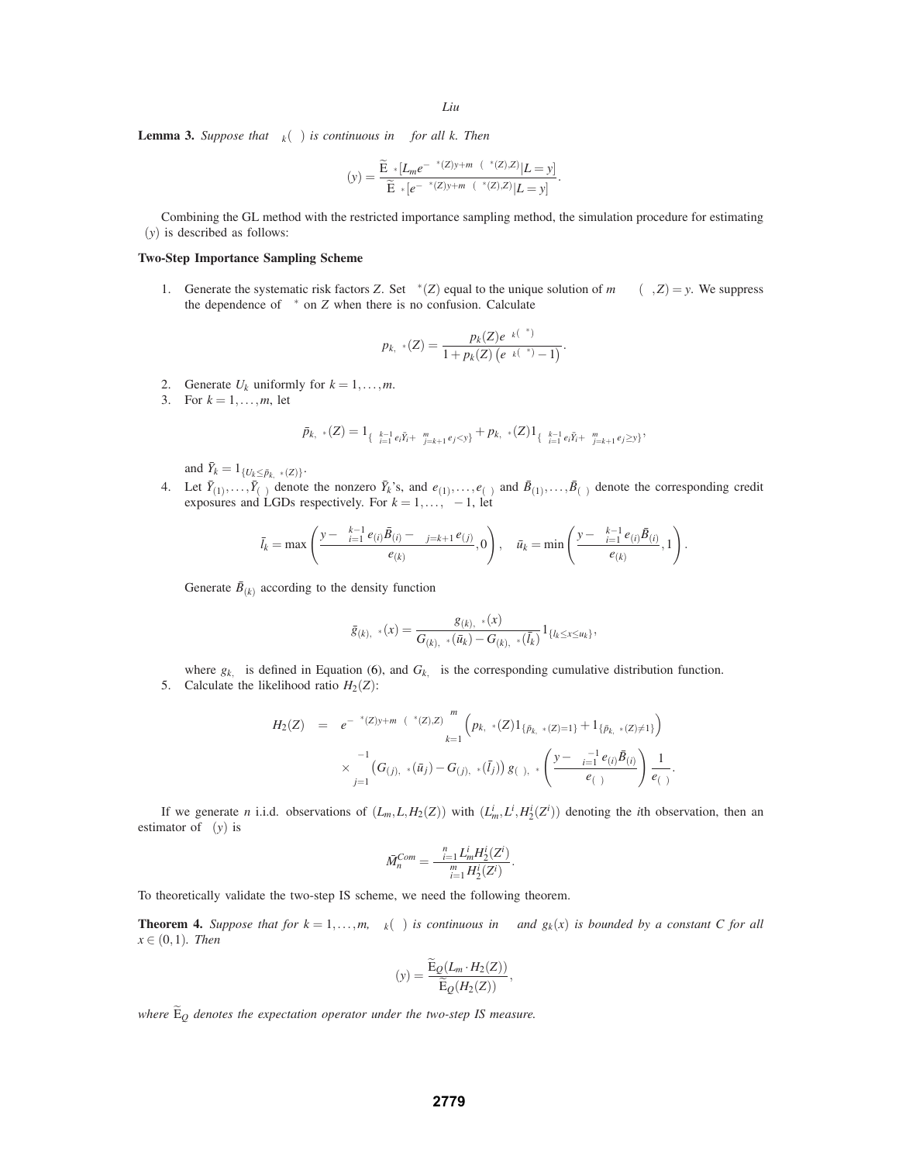**Lemma 3.** *Suppose that*  $Λ_k(θ)$  *is continuous in*  $θ$  *for all k. Then* 

$$
\gamma(y)=\frac{\widetilde{\mathbf{E}}_{\theta^*}[L_{m}e^{-\theta^*(Z)y+m\psi(\theta^*(Z),Z)}|L=y]}{\widetilde{\mathbf{E}}_{\theta^*}[e^{-\theta^*(Z)y+m\psi(\theta^*(Z),Z)}|L=y]}.
$$

Combining the GL method with the restricted importance sampling method, the simulation procedure for estimating  $\gamma(y)$  is described as follows:

# **Two-Step Importance Sampling Scheme**

1. Generate the systematic risk factors *Z*. Set  $\theta^*(Z)$  equal to the unique solution of  $m\partial_\theta \psi(\theta, Z) = y$ . We suppress the dependence of  $\theta^*$  on *Z* when there is no confusion. Calculate

$$
p_{k,\theta^*}(Z) = \frac{p_k(Z)e^{\Lambda_k(\theta^*)}}{1 + p_k(Z)\left(e^{\Lambda_k(\theta^*)} - 1\right)}.
$$

- 2. Generate  $U_k$  uniformly for  $k = 1, \ldots, m$ .
- 3. For  $k = 1, ..., m$ , let

$$
\bar{p}_{k,\theta^*}(Z) = 1_{\{\sum_{i=1}^{k-1} e_i \bar{Y}_i + \sum_{j=k+1}^m e_j < y\}} + p_{k,\theta^*}(Z) 1_{\{\sum_{i=1}^{k-1} e_i \bar{Y}_i + \sum_{j=k+1}^m e_j \ge y\}},
$$

and  $\bar{Y}_k = 1_{\{U_k \leq \bar{p}_{k,\theta^*}(Z)\}}$ .

4. Let  $\bar{Y}_{(1)},\ldots,\bar{Y}_{(\tau)}$  denote the nonzero  $\bar{Y}_k$ 's, and  $e_{(1)},\ldots,e_{(\tau)}$  and  $\bar{B}_{(1)},\ldots,\bar{B}_{(\tau)}$  denote the corresponding credit exposures and LGDs respectively. For  $k = 1, ..., \tau - 1$ , let

$$
\bar{l}_k = \max\left(\frac{y - \sum_{i=1}^{k-1} e_{(i)} \bar{B}_{(i)} - \sum_{j=k+1}^{\tau} e_{(j)}}{e_{(k)}}, 0\right), \quad \bar{u}_k = \min\left(\frac{y - \sum_{i=1}^{k-1} e_{(i)} \bar{B}_{(i)}}{e_{(k)}}, 1\right).
$$

Generate  $\bar{B}_{(k)}$  according to the density function

$$
\bar{g}_{(k),\theta^{*}}(x)=\frac{g_{(k),\theta^{*}}(x)}{G_{(k),\theta^{*}}(\bar{u}_{k})-G_{(k),\theta^{*}}(\bar{l}_{k})}1_{\{l_{k}\leq x\leq u_{k}\}},
$$

where  $g_{k,\theta}$  is defined in Equation (6), and  $G_{k,\theta}$  is the corresponding cumulative distribution function.

5. Calculate the likelihood ratio  $H_2(Z)$ :

$$
H_2(Z) = e^{-\theta^*(Z)y + m\psi(\theta^*(Z), Z)} \prod_{k=1}^m \left( p_{k,\theta^*}(Z) 1_{\{\bar{p}_{k,\theta^*}(Z)=1\}} + 1_{\{\bar{p}_{k,\theta^*}(Z)\neq 1\}} \right) \times \prod_{j=1}^{\tau-1} \left( G_{(j),\theta^*}(\bar{u}_j) - G_{(j),\theta^*}(\bar{l}_j) \right) g_{(\tau),\theta^*} \left( \frac{y - \sum_{i=1}^{\tau-1} e_{(i)} \bar{B}_{(i)}}{e_{(\tau)}} \right) \frac{1}{e_{(\tau)}}.
$$

If we generate *n* i.i.d. observations of  $(L_m, L, H_2(Z))$  with  $(L_m^i, L^i, H_2^i(Z^i))$  denoting the *i*th observation, then an estimator of  $\gamma(y)$  is

$$
\bar{M}_n^{Com} = \frac{\sum_{i=1}^n L_m^i H_2^i(Z^i)}{\sum_{i=1}^m H_2^i(Z^i)}.
$$

To theoretically validate the two-step IS scheme, we need the following theorem.

**Theorem 4.** Suppose that for  $k = 1, ..., m$ ,  $\Lambda_k(\theta)$  is continuous in  $\theta$  and  $g_k(x)$  is bounded by a constant C for all  $x \in (0,1)$ *. Then* 

$$
\gamma(y) = \frac{\widetilde{\mathrm{E}}_{Q}(L_m \cdot H_2(Z))}{\widetilde{\mathrm{E}}_{Q}(H_2(Z))},
$$

*where*  $\widetilde{E}_Q$  *denotes the expectation operator under the two-step IS measure.*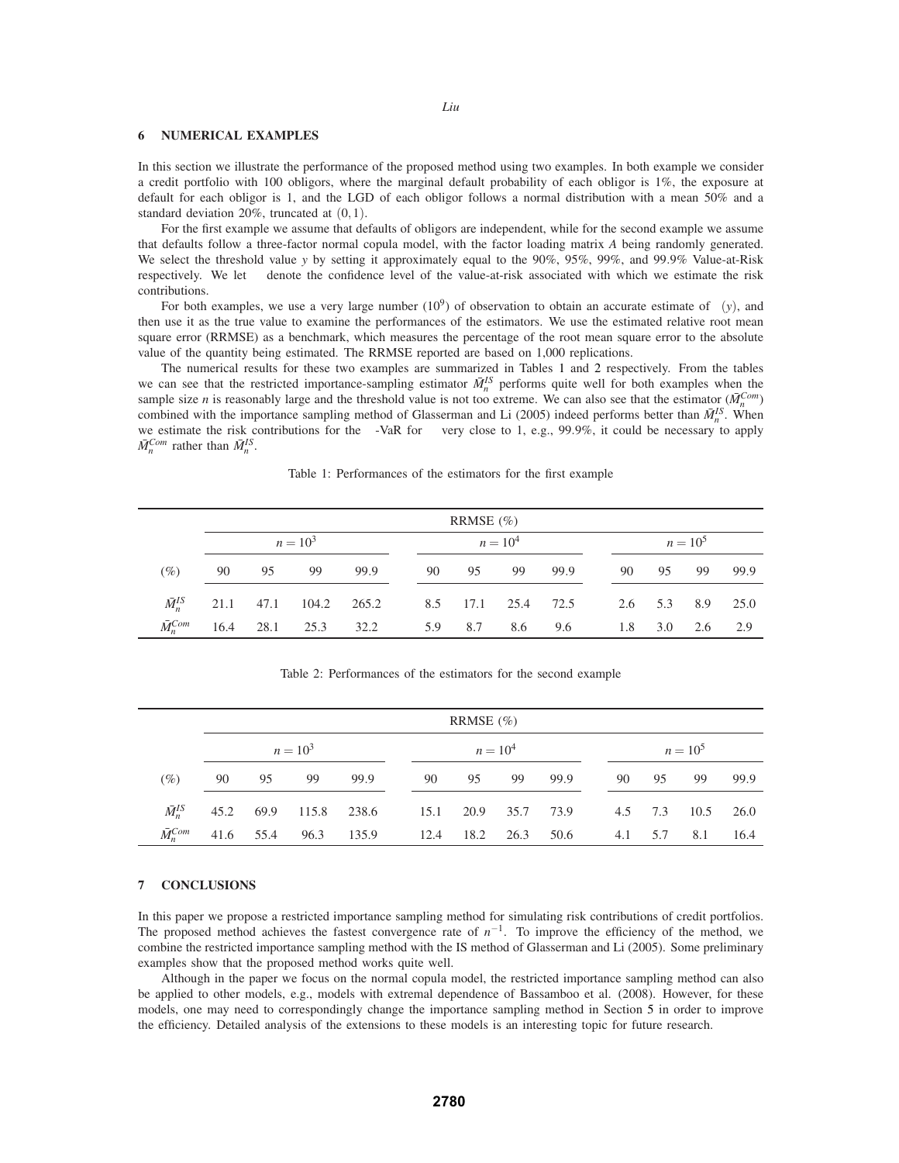## **6 NUMERICAL EXAMPLES**

In this section we illustrate the performance of the proposed method using two examples. In both example we consider a credit portfolio with 100 obligors, where the marginal default probability of each obligor is 1%, the exposure at default for each obligor is 1, and the LGD of each obligor follows a normal distribution with a mean 50% and a standard deviation 20%, truncated at (0,1).

For the first example we assume that defaults of obligors are independent, while for the second example we assume that defaults follow a three-factor normal copula model, with the factor loading matrix *A* being randomly generated. We select the threshold value *y* by setting it approximately equal to the 90%, 95%, 99%, and 99.9% Value-at-Risk respectively. We let  $\alpha$  denote the confidence level of the value-at-risk associated with which we estimate the risk contributions.

For both examples, we use a very large number  $(10^9)$  of observation to obtain an accurate estimate of  $\gamma(y)$ , and then use it as the true value to examine the performances of the estimators. We use the estimated relative root mean square error (RRMSE) as a benchmark, which measures the percentage of the root mean square error to the absolute value of the quantity being estimated. The RRMSE reported are based on 1,000 replications.

The numerical results for these two examples are summarized in Tables 1 and 2 respectively. From the tables we can see that the restricted importance-sampling estimator  $\bar{M}_n^{IS}$  performs quite well for both examples when the sample size *n* is reasonably large and the threshold value is not too extreme. We can also see that the estimator ( $\bar{M}_n^{\text{Com}}$ ) combined with the importance sampling method of Glasserman and Li (2005) indeed performs better than  $\bar{M}_n^{IS}$ . When we estimate the risk contributions for the  $\alpha$ -VaR for  $\alpha$  very close to 1, e.g., 99.9%, it could be necessary to apply  $\bar{M}_n^{Com}$  rather than  $\bar{M}_n^{IS}$ .

|                   |    |    |                                          |      |    | RRMSE $(\% )$ |                    |                 |            |       |                  |         |  |
|-------------------|----|----|------------------------------------------|------|----|---------------|--------------------|-----------------|------------|-------|------------------|---------|--|
|                   |    |    | $n = 10^3$                               |      |    |               | $n = 10^4$         |                 | $n = 10^5$ |       |                  |         |  |
| $\alpha$ (%)      | 90 | 95 | - 99                                     | 99.9 | 90 |               | 95 99 99.9         |                 |            | 90 95 |                  | 99 99.9 |  |
|                   |    |    | $\bar{M}_{n}^{IS}$ 21.1 47.1 104.2 265.2 |      |    |               | 8.5 17.1 25.4 72.5 |                 |            |       | 2.6 5.3 8.9 25.0 |         |  |
| $\bar{M}_n^{Com}$ |    |    | 16.4 28.1 25.3 32.2                      |      |    |               |                    | 5.9 8.7 8.6 9.6 |            |       | 1.8 3.0 2.6 2.9  |         |  |

Table 1: Performances of the estimators for the first example

Table 2: Performances of the estimators for the second example

|                   | RRMSE $(\% )$ |    |                                           |      |  |            |    |         |  |  |    |            |                   |          |  |  |
|-------------------|---------------|----|-------------------------------------------|------|--|------------|----|---------|--|--|----|------------|-------------------|----------|--|--|
|                   |               |    | $n = 10^3$                                |      |  | $n = 10^4$ |    |         |  |  |    | $n = 10^5$ |                   |          |  |  |
| $\alpha$ (%)      | 90            | 95 | 99                                        | 99.9 |  | 90         | 95 | 99 99.9 |  |  | 90 | 95         | 99                | 99.9     |  |  |
| $\bar{M}_n^{IS}$  |               |    | 45.2 69.9 115.8 238.6 15.1 20.9 35.7 73.9 |      |  |            |    |         |  |  |    |            | 4.5 7.3 10.5 26.0 |          |  |  |
| $\bar{M}_n^{Com}$ |               |    | 41.6 55.4 96.3 135.9 12.4 18.2 26.3 50.6  |      |  |            |    |         |  |  |    | 4.1 5.7    |                   | 8.1 16.4 |  |  |

## **7 CONCLUSIONS**

In this paper we propose a restricted importance sampling method for simulating risk contributions of credit portfolios. The proposed method achieves the fastest convergence rate of *n*−1. To improve the efficiency of the method, we combine the restricted importance sampling method with the IS method of Glasserman and Li (2005). Some preliminary examples show that the proposed method works quite well.

Although in the paper we focus on the normal copula model, the restricted importance sampling method can also be applied to other models, e.g., models with extremal dependence of Bassamboo et al. (2008). However, for these models, one may need to correspondingly change the importance sampling method in Section 5 in order to improve the efficiency. Detailed analysis of the extensions to these models is an interesting topic for future research.